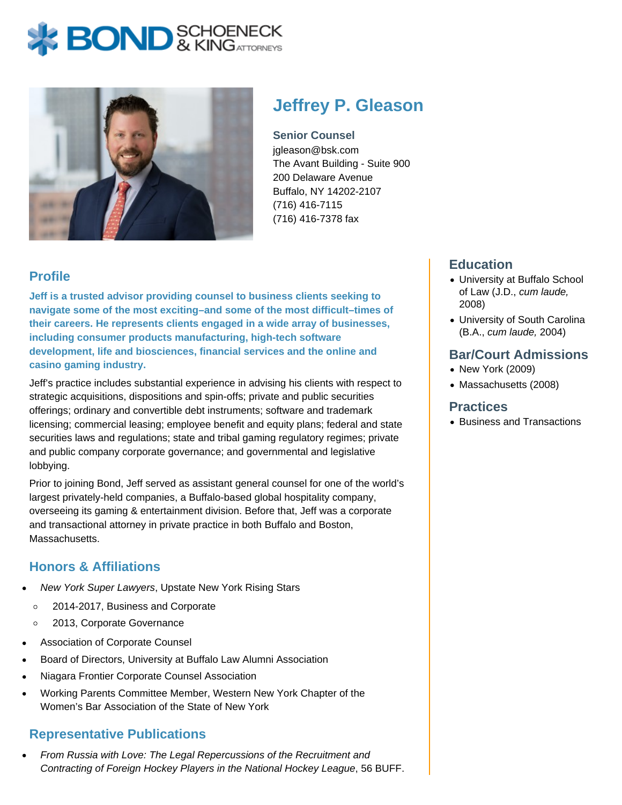# **X BOND** & KINGATTORNECK



# **Jeffrey P. Gleason**

**Senior Counsel** jgleason@bsk.com The Avant Building - Suite 900 200 Delaware Avenue Buffalo, NY 14202-2107 (716) 416-7115 (716) 416-7378 fax

# **Profile**

**Jeff is a trusted advisor providing counsel to business clients seeking to navigate some of the most exciting–and some of the most difficult–times of their careers. He represents clients engaged in a wide array of businesses, including consumer products manufacturing, high-tech software development, life and biosciences, financial services and the online and casino gaming industry.** 

Jeff's practice includes substantial experience in advising his clients with respect to strategic acquisitions, dispositions and spin-offs; private and public securities offerings; ordinary and convertible debt instruments; software and trademark licensing; commercial leasing; employee benefit and equity plans; federal and state securities laws and regulations; state and tribal gaming regulatory regimes; private and public company corporate governance; and governmental and legislative lobbying.

Prior to joining Bond, Jeff served as assistant general counsel for one of the world's largest privately-held companies, a Buffalo-based global hospitality company, overseeing its gaming & entertainment division. Before that, Jeff was a corporate and transactional attorney in private practice in both Buffalo and Boston, Massachusetts.

### **Honors & Affiliations**

- New York Super Lawyers, Upstate New York Rising Stars
	- $\circ$ 2014-2017, Business and Corporate
	- 2013, Corporate Governance  $\circ$
- Association of Corporate Counsel
- Board of Directors, University at Buffalo Law Alumni Association
- Niagara Frontier Corporate Counsel Association
- Working Parents Committee Member, Western New York Chapter of the Women's Bar Association of the State of New York

### **Representative Publications**

From Russia with Love: The Legal Repercussions of the Recruitment and Contracting of Foreign Hockey Players in the National Hockey League, 56 BUFF.

# **Education**

- University at Buffalo School of Law (J.D., cum laude, 2008)
- University of South Carolina (B.A., cum laude, 2004)

#### **Bar/Court Admissions**

- New York (2009)
- Massachusetts (2008)

#### **Practices**

• Business and Transactions